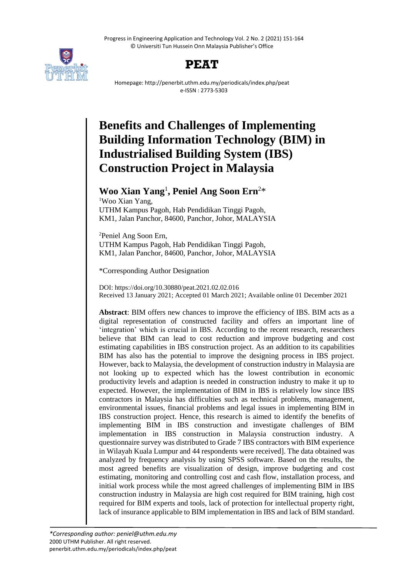Progress in Engineering Application and Technology Vol. 2 No. 2 (2021) 151-164 © Universiti Tun Hussein Onn Malaysia Publisher's Office



## **PEAT**

Homepage: http://penerbit.uthm.edu.my/periodicals/index.php/peat e-ISSN : 2773-5303

# **Benefits and Challenges of Implementing Building Information Technology (BIM) in Industrialised Building System (IBS) Construction Project in Malaysia**

### **Woo Xian Yang**<sup>1</sup> **, Peniel Ang Soon Ern**<sup>2</sup>\*

<sup>1</sup>Woo Xian Yang, UTHM Kampus Pagoh, Hab Pendidikan Tinggi Pagoh, KM1, Jalan Panchor, 84600, Panchor, Johor, MALAYSIA

<sup>2</sup>Peniel Ang Soon Ern, UTHM Kampus Pagoh, Hab Pendidikan Tinggi Pagoh, KM1, Jalan Panchor, 84600, Panchor, Johor, MALAYSIA

\*Corresponding Author Designation

DOI: https://doi.org/10.30880/peat.2021.02.02.016 Received 13 January 2021; Accepted 01 March 2021; Available online 01 December 2021

**Abstract**: BIM offers new chances to improve the efficiency of IBS. BIM acts as a digital representation of constructed facility and offers an important line of 'integration' which is crucial in IBS. According to the recent research, researchers believe that BIM can lead to cost reduction and improve budgeting and cost estimating capabilities in IBS construction project. As an addition to its capabilities BIM has also has the potential to improve the designing process in IBS project. However, back to Malaysia, the development of construction industry in Malaysia are not looking up to expected which has the lowest contribution in economic productivity levels and adaption is needed in construction industry to make it up to expected. However, the implementation of BIM in IBS is relatively low since IBS contractors in Malaysia has difficulties such as technical problems, management, environmental issues, financial problems and legal issues in implementing BIM in IBS construction project. Hence, this research is aimed to identify the benefits of implementing BIM in IBS construction and investigate challenges of BIM implementation in IBS construction in Malaysia construction industry. A questionnaire survey was distributed to Grade 7 IBS contractors with BIM experience in Wilayah Kuala Lumpur and 44 respondents were received]. The data obtained was analyzed by frequency analysis by using SPSS software. Based on the results, the most agreed benefits are visualization of design, improve budgeting and cost estimating, monitoring and controlling cost and cash flow, installation process, and initial work process while the most agreed challenges of implementing BIM in IBS construction industry in Malaysia are high cost required for BIM training, high cost required for BIM experts and tools, lack of protection for intellectual property right, lack of insurance applicable to BIM implementation in IBS and lack of BIM standard.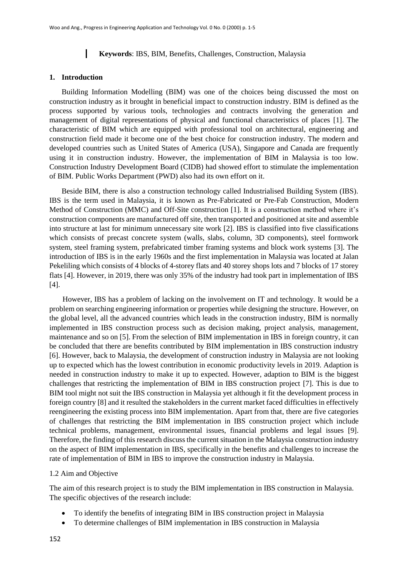#### $\mathbf{I}$ **Keywords**: IBS, BIM, Benefits, Challenges, Construction, Malaysia

#### **1. Introduction**

Building Information Modelling (BIM) was one of the choices being discussed the most on construction industry as it brought in beneficial impact to construction industry. BIM is defined as the process supported by various tools, technologies and contracts involving the generation and management of digital representations of physical and functional characteristics of places [1]. The characteristic of BIM which are equipped with professional tool on architectural, engineering and construction field made it become one of the best choice for construction industry. The modern and developed countries such as United States of America (USA), Singapore and Canada are frequently using it in construction industry. However, the implementation of BIM in Malaysia is too low. Construction Industry Development Board (CIDB) had showed effort to stimulate the implementation of BIM. Public Works Department (PWD) also had its own effort on it.

Beside BIM, there is also a construction technology called Industrialised Building System (IBS). IBS is the term used in Malaysia, it is known as Pre-Fabricated or Pre-Fab Construction, Modern Method of Construction (MMC) and Off-Site construction [1]. It is a construction method where it's construction components are manufactured off site, then transported and positioned at site and assemble into structure at last for minimum unnecessary site work [2]. IBS is classified into five classifications which consists of precast concrete system (walls, slabs, column, 3D components), steel formwork system, steel framing system, prefabricated timber framing systems and block work systems [3]. The introduction of IBS is in the early 1960s and the first implementation in Malaysia was located at Jalan Pekeliling which consists of 4 blocks of 4-storey flats and 40 storey shops lots and 7 blocks of 17 storey flats [4]. However, in 2019, there was only 35% of the industry had took part in implementation of IBS [4].

 However, IBS has a problem of lacking on the involvement on IT and technology. It would be a problem on searching engineering information or properties while designing the structure. However, on the global level, all the advanced countries which leads in the construction industry, BIM is normally implemented in IBS construction process such as decision making, project analysis, management, maintenance and so on [5]. From the selection of BIM implementation in IBS in foreign country, it can be concluded that there are benefits contributed by BIM implementation in IBS construction industry [6]. However, back to Malaysia, the development of construction industry in Malaysia are not looking up to expected which has the lowest contribution in economic productivity levels in 2019. Adaption is needed in construction industry to make it up to expected. However, adaption to BIM is the biggest challenges that restricting the implementation of BIM in IBS construction project [7]. This is due to BIM tool might not suit the IBS construction in Malaysia yet although it fit the development process in foreign country [8] and it resulted the stakeholders in the current market faced difficulties in effectively reengineering the existing process into BIM implementation. Apart from that, there are five categories of challenges that restricting the BIM implementation in IBS construction project which include technical problems, management, environmental issues, financial problems and legal issues [9]. Therefore, the finding of this research discuss the current situation in the Malaysia construction industry on the aspect of BIM implementation in IBS, specifically in the benefits and challenges to increase the rate of implementation of BIM in IBS to improve the construction industry in Malaysia.

#### 1.2 Aim and Objective

The aim of this research project is to study the BIM implementation in IBS construction in Malaysia. The specific objectives of the research include:

- To identify the benefits of integrating BIM in IBS construction project in Malaysia
- To determine challenges of BIM implementation in IBS construction in Malaysia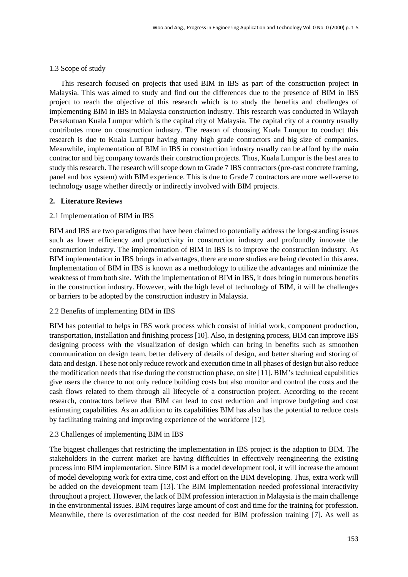### 1.3 Scope of study

 This research focused on projects that used BIM in IBS as part of the construction project in Malaysia. This was aimed to study and find out the differences due to the presence of BIM in IBS project to reach the objective of this research which is to study the benefits and challenges of implementing BIM in IBS in Malaysia construction industry. This research was conducted in Wilayah Persekutuan Kuala Lumpur which is the capital city of Malaysia. The capital city of a country usually contributes more on construction industry. The reason of choosing Kuala Lumpur to conduct this research is due to Kuala Lumpur having many high grade contractors and big size of companies. Meanwhile, implementation of BIM in IBS in construction industry usually can be afford by the main contractor and big company towards their construction projects. Thus, Kuala Lumpur is the best area to study this research. The research will scope down to Grade 7 IBS contractors (pre-cast concrete framing, panel and box system) with BIM experience. This is due to Grade 7 contractors are more well-verse to technology usage whether directly or indirectly involved with BIM projects.

#### **2. Literature Reviews**

#### 2.1 Implementation of BIM in IBS

BIM and IBS are two paradigms that have been claimed to potentially address the long-standing issues such as lower efficiency and productivity in construction industry and profoundly innovate the construction industry. The implementation of BIM in IBS is to improve the construction industry. As BIM implementation in IBS brings in advantages, there are more studies are being devoted in this area. Implementation of BIM in IBS is known as a methodology to utilize the advantages and minimize the weakness of from both site. With the implementation of BIM in IBS, it does bring in numerous benefits in the construction industry. However, with the high level of technology of BIM, it will be challenges or barriers to be adopted by the construction industry in Malaysia.

#### 2.2 Benefits of implementing BIM in IBS

BIM has potential to helps in IBS work process which consist of initial work, component production, transportation, installation and finishing process [10]. Also, in designing process, BIM can improve IBS designing process with the visualization of design which can bring in benefits such as smoothen communication on design team, better delivery of details of design, and better sharing and storing of data and design. These not only reduce rework and execution time in all phases of design but also reduce the modification needs that rise during the construction phase, on site [11]. BIM's technical capabilities give users the chance to not only reduce building costs but also monitor and control the costs and the cash flows related to them through all lifecycle of a construction project. According to the recent research, contractors believe that BIM can lead to cost reduction and improve budgeting and cost estimating capabilities. As an addition to its capabilities BIM has also has the potential to reduce costs by facilitating training and improving experience of the workforce [12].

#### 2.3 Challenges of implementing BIM in IBS

The biggest challenges that restricting the implementation in IBS project is the adaption to BIM. The stakeholders in the current market are having difficulties in effectively reengineering the existing process into BIM implementation. Since BIM is a model development tool, it will increase the amount of model developing work for extra time, cost and effort on the BIM developing. Thus, extra work will be added on the development team [13]. The BIM implementation needed professional interactivity throughout a project. However, the lack of BIM profession interaction in Malaysia is the main challenge in the environmental issues. BIM requires large amount of cost and time for the training for profession. Meanwhile, there is overestimation of the cost needed for BIM profession training [7]. As well as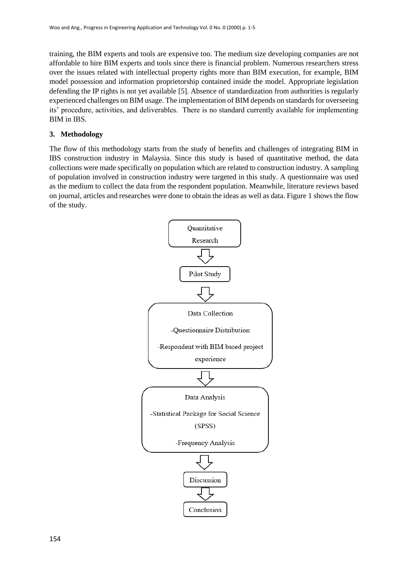training, the BIM experts and tools are expensive too. The medium size developing companies are not affordable to hire BIM experts and tools since there is financial problem. Numerous researchers stress over the issues related with intellectual property rights more than BIM execution, for example, BIM model possession and information proprietorship contained inside the model. Appropriate legislation defending the IP rights is not yet available [5]. Absence of standardization from authorities is regularly experienced challenges on BIM usage. The implementation of BIM depends on standards for overseeing its' procedure, activities, and deliverables. There is no standard currently available for implementing BIM in IBS.

#### **3. Methodology**

The flow of this methodology starts from the study of benefits and challenges of integrating BIM in IBS construction industry in Malaysia. Since this study is based of quantitative method, the data collections were made specifically on population which are related to construction industry. A sampling of population involved in construction industry were targeted in this study. A questionnaire was used as the medium to collect the data from the respondent population. Meanwhile, literature reviews based on journal, articles and researches were done to obtain the ideas as well as data. Figure 1 shows the flow of the study.

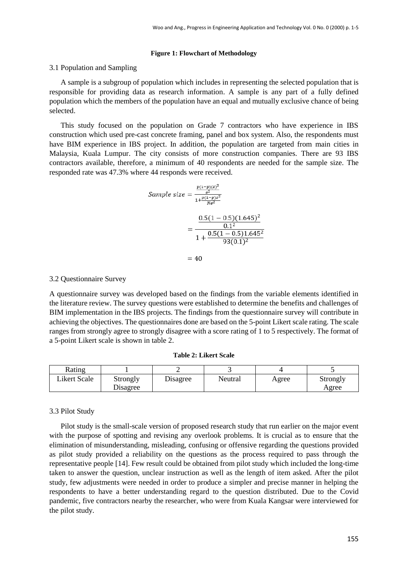#### **Figure 1: Flowchart of Methodology**

#### 3.1 Population and Sampling

 A sample is a subgroup of population which includes in representing the selected population that is responsible for providing data as research information. A sample is any part of a fully defined population which the members of the population have an equal and mutually exclusive chance of being selected.

 This study focused on the population on Grade 7 contractors who have experience in IBS construction which used pre-cast concrete framing, panel and box system. Also, the respondents must have BIM experience in IBS project. In addition, the population are targeted from main cities in Malaysia, Kuala Lumpur. The city consists of more construction companies. There are 93 IBS contractors available, therefore, a minimum of 40 respondents are needed for the sample size. The responded rate was 47.3% where 44 responds were received.

Sample size 
$$
=
$$
 
$$
\frac{\frac{p(1-p)(z)^2}{e^2}}{1 + \frac{p(1-p)z^2}{Ne^2}}
$$

$$
= \frac{\frac{0.5(1-0.5)(1.645)^2}{0.1^2}}{1 + \frac{0.5(1-0.5)1.645^2}{93(0.1)^2}}
$$

$$
= 40
$$

#### 3.2 Questionnaire Survey

A questionnaire survey was developed based on the findings from the variable elements identified in the literature review. The survey questions were established to determine the benefits and challenges of BIM implementation in the IBS projects. The findings from the questionnaire survey will contribute in achieving the objectives. The questionnaires done are based on the 5-point Likert scale rating. The scale ranges from strongly agree to strongly disagree with a score rating of 1 to 5 respectively. The format of a 5-point Likert scale is shown in table 2.

| Rating       |                      |          |         |       |                   |
|--------------|----------------------|----------|---------|-------|-------------------|
| Likert Scale | Strongly<br>Disagree | Disagree | Neutral | Agree | Strongly<br>Agree |

#### 3.3 Pilot Study

 Pilot study is the small-scale version of proposed research study that run earlier on the major event with the purpose of spotting and revising any overlook problems. It is crucial as to ensure that the elimination of misunderstanding, misleading, confusing or offensive regarding the questions provided as pilot study provided a reliability on the questions as the process required to pass through the representative people [14]. Few result could be obtained from pilot study which included the long-time taken to answer the question, unclear instruction as well as the length of item asked. After the pilot study, few adjustments were needed in order to produce a simpler and precise manner in helping the respondents to have a better understanding regard to the question distributed. Due to the Covid pandemic, five contractors nearby the researcher, who were from Kuala Kangsar were interviewed for the pilot study.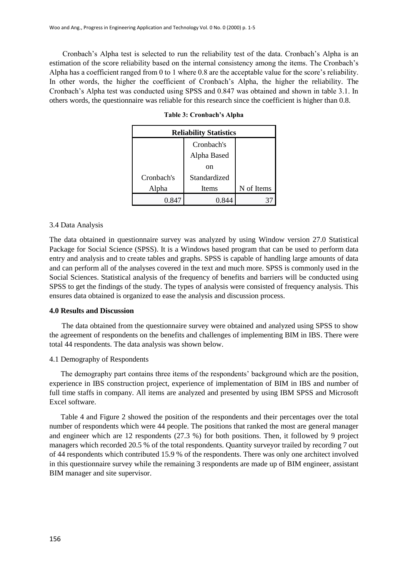Cronbach's Alpha test is selected to run the reliability test of the data. Cronbach's Alpha is an estimation of the score reliability based on the internal consistency among the items. The Cronbach's Alpha has a coefficient ranged from 0 to 1 where 0.8 are the acceptable value for the score's reliability. In other words, the higher the coefficient of Cronbach's Alpha, the higher the reliability. The Cronbach's Alpha test was conducted using SPSS and 0.847 was obtained and shown in table 3.1. In others words, the questionnaire was reliable for this research since the coefficient is higher than 0.8.

| <b>Reliability Statistics</b> |                           |            |  |  |  |
|-------------------------------|---------------------------|------------|--|--|--|
|                               | Cronbach's<br>Alpha Based |            |  |  |  |
|                               | on                        |            |  |  |  |
| Cronbach's                    | Standardized              |            |  |  |  |
| Alpha                         | Items                     | N of Items |  |  |  |
|                               |                           |            |  |  |  |

**Table 3: Cronbach's Alpha**

#### 3.4 Data Analysis

The data obtained in questionnaire survey was analyzed by using Window version 27.0 Statistical Package for Social Science (SPSS). It is a Windows based program that can be used to perform data entry and analysis and to create tables and graphs. SPSS is capable of handling large amounts of data and can perform all of the analyses covered in the text and much more. SPSS is commonly used in the Social Sciences. Statistical analysis of the frequency of benefits and barriers will be conducted using SPSS to get the findings of the study. The types of analysis were consisted of frequency analysis. This ensures data obtained is organized to ease the analysis and discussion process.

#### **4.0 Results and Discussion**

The data obtained from the questionnaire survey were obtained and analyzed using SPSS to show the agreement of respondents on the benefits and challenges of implementing BIM in IBS. There were total 44 respondents. The data analysis was shown below.

#### 4.1 Demography of Respondents

 The demography part contains three items of the respondents' background which are the position, experience in IBS construction project, experience of implementation of BIM in IBS and number of full time staffs in company. All items are analyzed and presented by using IBM SPSS and Microsoft Excel software.

 Table 4 and Figure 2 showed the position of the respondents and their percentages over the total number of respondents which were 44 people. The positions that ranked the most are general manager and engineer which are 12 respondents (27.3 %) for both positions. Then, it followed by 9 project managers which recorded 20.5 % of the total respondents. Quantity surveyor trailed by recording 7 out of 44 respondents which contributed 15.9 % of the respondents. There was only one architect involved in this questionnaire survey while the remaining 3 respondents are made up of BIM engineer, assistant BIM manager and site supervisor.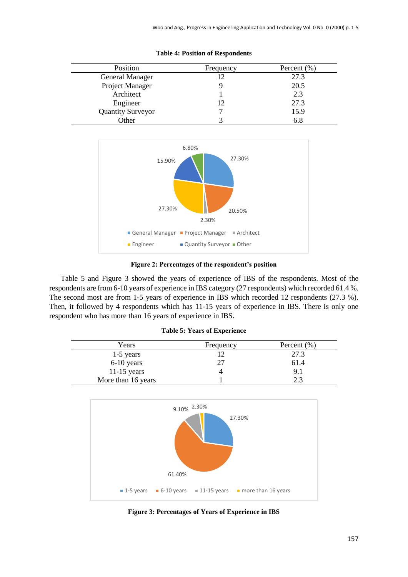| Position                 | Frequency | Percent $(\% )$ |
|--------------------------|-----------|-----------------|
| General Manager          | 12        | 27.3            |
| Project Manager          |           | 20.5            |
| Architect                |           | 2.3             |
| Engineer                 | 12        | 27.3            |
| <b>Quantity Surveyor</b> |           | 15.9            |
| Other                    |           | 6.8             |





**Figure 2: Percentages of the respondent's position**

 Table 5 and Figure 3 showed the years of experience of IBS of the respondents. Most of the respondents are from 6-10 years of experience in IBS category (27 respondents) which recorded 61.4 %. The second most are from 1-5 years of experience in IBS which recorded 12 respondents (27.3 %). Then, it followed by 4 respondents which has 11-15 years of experience in IBS. There is only one respondent who has more than 16 years of experience in IBS.

|  |  | <b>Table 5: Years of Experience</b> |
|--|--|-------------------------------------|
|--|--|-------------------------------------|

| Years              | Frequency | Percent $(\%)$ |
|--------------------|-----------|----------------|
| $1-5$ years        |           | 27.3           |
| 6-10 years         | 27        | 61.4           |
| $11-15$ years      |           | 9.1            |
| More than 16 years |           | 2.3            |



**Figure 3: Percentages of Years of Experience in IBS**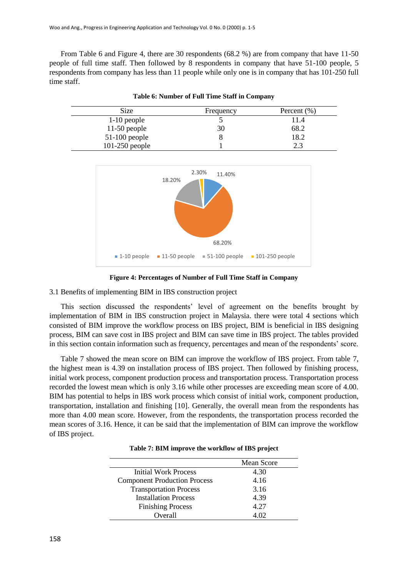From Table 6 and Figure 4, there are 30 respondents (68.2 %) are from company that have 11-50 people of full time staff. Then followed by 8 respondents in company that have 51-100 people, 5 respondents from company has less than 11 people while only one is in company that has 101-250 full time staff.

| <b>Size</b>      | Frequency | Percent $(\% )$ |
|------------------|-----------|-----------------|
| $1-10$ people    |           | 11.4            |
| $11-50$ people   | 30        | 68.2            |
| $51-100$ people  |           | 18.2            |
| $101-250$ people |           |                 |





**Figure 4: Percentages of Number of Full Time Staff in Company**

3.1 Benefits of implementing BIM in IBS construction project

 This section discussed the respondents' level of agreement on the benefits brought by implementation of BIM in IBS construction project in Malaysia. there were total 4 sections which consisted of BIM improve the workflow process on IBS project, BIM is beneficial in IBS designing process, BIM can save cost in IBS project and BIM can save time in IBS project. The tables provided in this section contain information such as frequency, percentages and mean of the respondents' score.

 Table 7 showed the mean score on BIM can improve the workflow of IBS project. From table 7, the highest mean is 4.39 on installation process of IBS project. Then followed by finishing process, initial work process, component production process and transportation process. Transportation process recorded the lowest mean which is only 3.16 while other processes are exceeding mean score of 4.00. BIM has potential to helps in IBS work process which consist of initial work, component production, transportation, installation and finishing [10]. Generally, the overall mean from the respondents has more than 4.00 mean score. However, from the respondents, the transportation process recorded the mean scores of 3.16. Hence, it can be said that the implementation of BIM can improve the workflow of IBS project.

|                                     | Mean Score |
|-------------------------------------|------------|
| Initial Work Process                | 4.30       |
| <b>Component Production Process</b> | 4.16       |
| <b>Transportation Process</b>       | 3.16       |
| <b>Installation Process</b>         | 4.39       |
| <b>Finishing Process</b>            | 4.27       |
| Overall                             |            |

|  |  |  |  | Table 7: BIM improve the workflow of IBS project |  |  |  |  |
|--|--|--|--|--------------------------------------------------|--|--|--|--|
|--|--|--|--|--------------------------------------------------|--|--|--|--|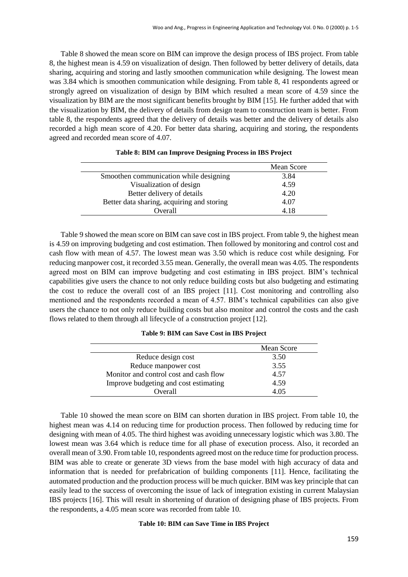Table 8 showed the mean score on BIM can improve the design process of IBS project. From table 8, the highest mean is 4.59 on visualization of design. Then followed by better delivery of details, data sharing, acquiring and storing and lastly smoothen communication while designing. The lowest mean was 3.84 which is smoothen communication while designing. From table 8, 41 respondents agreed or strongly agreed on visualization of design by BIM which resulted a mean score of 4.59 since the visualization by BIM are the most significant benefits brought by BIM [15]. He further added that with the visualization by BIM, the delivery of details from design team to construction team is better. From table 8, the respondents agreed that the delivery of details was better and the delivery of details also recorded a high mean score of 4.20. For better data sharing, acquiring and storing, the respondents agreed and recorded mean score of 4.07.

|                                            | Mean Score |
|--------------------------------------------|------------|
| Smoothen communication while designing     | 3.84       |
| Visualization of design                    | 4.59       |
| Better delivery of details                 | 4.20       |
| Better data sharing, acquiring and storing | 4.07       |
| Overall                                    | 4 18       |

#### **Table 8: BIM can Improve Designing Process in IBS Project**

 Table 9 showed the mean score on BIM can save cost in IBS project. From table 9, the highest mean is 4.59 on improving budgeting and cost estimation. Then followed by monitoring and control cost and cash flow with mean of 4.57. The lowest mean was 3.50 which is reduce cost while designing. For reducing manpower cost, it recorded 3.55 mean. Generally, the overall mean was 4.05. The respondents agreed most on BIM can improve budgeting and cost estimating in IBS project. BIM's technical capabilities give users the chance to not only reduce building costs but also budgeting and estimating the cost to reduce the overall cost of an IBS project [11]. Cost monitoring and controlling also mentioned and the respondents recorded a mean of 4.57. BIM's technical capabilities can also give users the chance to not only reduce building costs but also monitor and control the costs and the cash flows related to them through all lifecycle of a construction project [12].

**Table 9: BIM can Save Cost in IBS Project**

|                                        | Mean Score |
|----------------------------------------|------------|
| Reduce design cost                     | 3.50       |
| Reduce manpower cost                   | 3.55       |
| Monitor and control cost and cash flow | 4.57       |
| Improve budgeting and cost estimating  | 4.59       |
| Overall                                | 4.05       |

 Table 10 showed the mean score on BIM can shorten duration in IBS project. From table 10, the highest mean was 4.14 on reducing time for production process. Then followed by reducing time for designing with mean of 4.05. The third highest was avoiding unnecessary logistic which was 3.80. The lowest mean was 3.64 which is reduce time for all phase of execution process. Also, it recorded an overall mean of 3.90. From table 10, respondents agreed most on the reduce time for production process. BIM was able to create or generate 3D views from the base model with high accuracy of data and information that is needed for prefabrication of building components [11]. Hence, facilitating the automated production and the production process will be much quicker. BIM was key principle that can easily lead to the success of overcoming the issue of lack of integration existing in current Malaysian IBS projects [16]. This will result in shortening of duration of designing phase of IBS projects. From the respondents, a 4.05 mean score was recorded from table 10.

#### **Table 10: BIM can Save Time in IBS Project**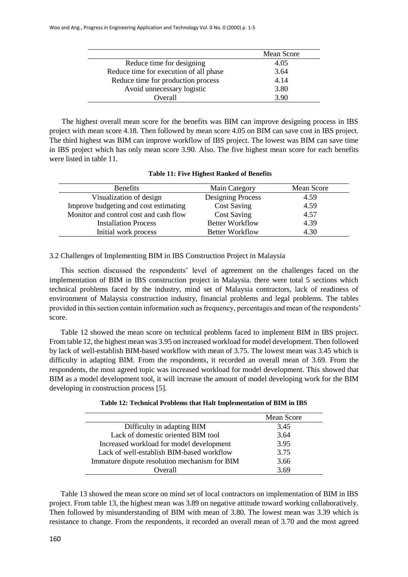|                                        | Mean Score |
|----------------------------------------|------------|
| Reduce time for designing              | 4.05       |
| Reduce time for execution of all phase | 3.64       |
| Reduce time for production process     | 4.14       |
| Avoid unnecessary logistic             | 3.80       |
| <b>Overall</b>                         | 3.90       |

The highest overall mean score for the benefits was BIM can improve designing process in IBS project with mean score 4.18. Then followed by mean score 4.05 on BIM can save cost in IBS project. The third highest was BIM can improve workflow of IBS project. The lowest was BIM can save time in IBS project which has only mean score 3.90. Also. The five highest mean score for each benefits were listed in table 11.

#### **Table 11: Five Highest Ranked of Benefits**

| <b>Benefits</b>                        | Main Category          | Mean Score |
|----------------------------------------|------------------------|------------|
| Visualization of design                | Designing Process      | 4.59       |
| Improve budgeting and cost estimating  | <b>Cost Saving</b>     | 4.59       |
| Monitor and control cost and cash flow | <b>Cost Saving</b>     | 4.57       |
| <b>Installation Process</b>            | <b>Better Workflow</b> | 4.39       |
| Initial work process                   | <b>Better Workflow</b> | 4.30       |

#### 3.2 Challenges of Implementing BIM in IBS Construction Project in Malaysia

 This section discussed the respondents' level of agreement on the challenges faced on the implementation of BIM in IBS construction project in Malaysia. there were total 5 sections which technical problems faced by the industry, mind set of Malaysia contractors, lack of readiness of environment of Malaysia construction industry, financial problems and legal problems. The tables provided in this section contain information such as frequency, percentages and mean of the respondents' score.

 Table 12 showed the mean score on technical problems faced to implement BIM in IBS project. From table 12, the highest mean was 3.95 on increased workload for model development. Then followed by lack of well-establish BIM-based workflow with mean of 3.75. The lowest mean was 3.45 which is difficulty in adapting BIM. From the respondents, it recorded an overall mean of 3.69. From the respondents, the most agreed topic was increased workload for model development. This showed that BIM as a model development tool, it will increase the amount of model developing work for the BIM developing in construction process [5].

|                                               | Mean Score |
|-----------------------------------------------|------------|
| Difficulty in adapting BIM                    | 3.45       |
| Lack of domestic oriented BIM tool            | 3.64       |
| Increased workload for model development      | 3.95       |
| Lack of well-establish BIM-based workflow     | 3.75       |
| Immature dispute resolution mechanism for BIM | 3.66       |
| Overall                                       | 369        |

 Table 13 showed the mean score on mind set of local contractors on implementation of BIM in IBS project. From table 13, the highest mean was 3.89 on negative attitude toward working collaboratively. Then followed by misunderstanding of BIM with mean of 3.80. The lowest mean was 3.39 which is resistance to change. From the respondents, it recorded an overall mean of 3.70 and the most agreed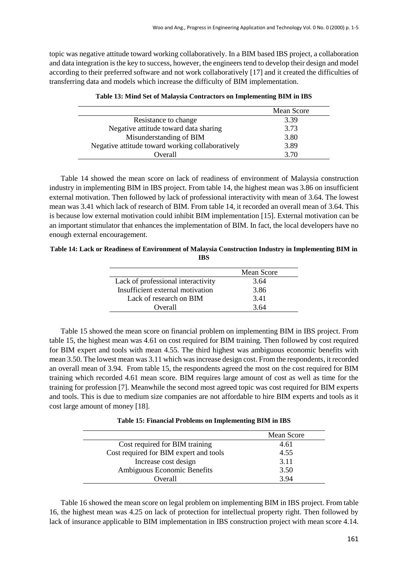topic was negative attitude toward working collaboratively. In a BIM based IBS project, a collaboration and data integration is the key to success, however, the engineers tend to develop their design and model according to their preferred software and not work collaboratively [17] and it created the difficulties of transferring data and models which increase the difficulty of BIM implementation.

|                                                  | Mean Score |
|--------------------------------------------------|------------|
| Resistance to change                             | 3.39       |
| Negative attitude toward data sharing            | 3.73       |
| Misunderstanding of BIM                          | 3.80       |
| Negative attitude toward working collaboratively | 3.89       |
| Overall                                          | 3.70       |
|                                                  |            |

| Table 13: Mind Set of Malaysia Contractors on Implementing BIM in IBS |  |  |  |  |
|-----------------------------------------------------------------------|--|--|--|--|
|-----------------------------------------------------------------------|--|--|--|--|

 Table 14 showed the mean score on lack of readiness of environment of Malaysia construction industry in implementing BIM in IBS project. From table 14, the highest mean was 3.86 on insufficient external motivation. Then followed by lack of professional interactivity with mean of 3.64. The lowest mean was 3.41 which lack of research of BIM. From table 14, it recorded an overall mean of 3.64. This is because low external motivation could inhibit BIM implementation [15]. External motivation can be an important stimulator that enhances the implementation of BIM. In fact, the local developers have no enough external encouragement.

**Table 14: Lack or Readiness of Environment of Malaysia Construction Industry in Implementing BIM in IBS**

|                                    | Mean Score |
|------------------------------------|------------|
| Lack of professional interactivity | 3.64       |
| Insufficient external motivation   | 3.86       |
| Lack of research on BIM            | 3.41       |
| Overall                            | 364        |

 Table 15 showed the mean score on financial problem on implementing BIM in IBS project. From table 15, the highest mean was 4.61 on cost required for BIM training. Then followed by cost required for BIM expert and tools with mean 4.55. The third highest was ambiguous economic benefits with mean 3.50. The lowest mean was 3.11 which was increase design cost. From the respondents, it recorded an overall mean of 3.94. From table 15, the respondents agreed the most on the cost required for BIM training which recorded 4.61 mean score. BIM requires large amount of cost as well as time for the training for profession [7]. Meanwhile the second most agreed topic was cost required for BIM experts and tools. This is due to medium size companies are not affordable to hire BIM experts and tools as it cost large amount of money [18].

**Table 15: Financial Problems on Implementing BIM in IBS**

|                                        | Mean Score |
|----------------------------------------|------------|
| Cost required for BIM training         | 4.61       |
| Cost required for BIM expert and tools | 4.55       |
| Increase cost design                   | 3.11       |
| Ambiguous Economic Benefits            | 3.50       |
| Overall                                | 3.94       |

 Table 16 showed the mean score on legal problem on implementing BIM in IBS project. From table 16, the highest mean was 4.25 on lack of protection for intellectual property right. Then followed by lack of insurance applicable to BIM implementation in IBS construction project with mean score 4.14.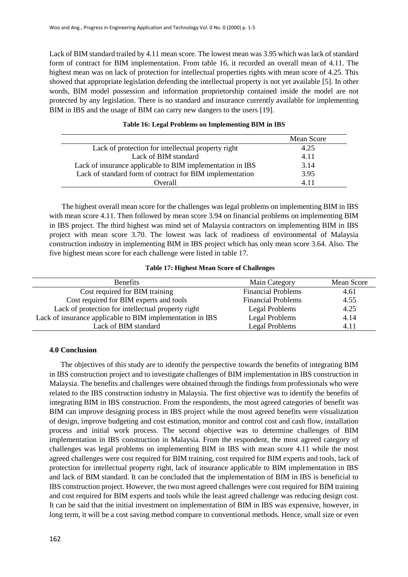Lack of BIM standard trailed by 4.11 mean score. The lowest mean was 3.95 which was lack of standard form of contract for BIM implementation. From table 16, it recorded an overall mean of 4.11. The highest mean was on lack of protection for intellectual properties rights with mean score of 4.25. This showed that appropriate legislation defending the intellectual property is not yet available [5]. In other words, BIM model possession and information proprietorship contained inside the model are not protected by any legislation. There is no standard and insurance currently available for implementing BIM in IBS and the usage of BIM can carry new dangers to the users [19].

|                                                           | Mean Score |
|-----------------------------------------------------------|------------|
| Lack of protection for intellectual property right        | 4.25       |
| Lack of BIM standard                                      | 4.11       |
| Lack of insurance applicable to BIM implementation in IBS | 3.14       |
| Lack of standard form of contract for BIM implementation  | 3.95       |
| Overall                                                   |            |

#### **Table 16: Legal Problems on Implementing BIM in IBS**

The highest overall mean score for the challenges was legal problems on implementing BIM in IBS with mean score 4.11. Then followed by mean score 3.94 on financial problems on implementing BIM in IBS project. The third highest was mind set of Malaysia contractors on implementing BIM in IBS project with mean score 3.70. The lowest was lack of readiness of environmental of Malaysia construction industry in implementing BIM in IBS project which has only mean score 3.64. Also. The five highest mean score for each challenge were listed in table 17.

#### **Table 17: Highest Mean Score of Challenges**

| <b>Benefits</b>                                           | Main Category             | Mean Score |
|-----------------------------------------------------------|---------------------------|------------|
| Cost required for BIM training                            | <b>Financial Problems</b> | 4.61       |
| Cost required for BIM experts and tools                   | <b>Financial Problems</b> | 4.55       |
| Lack of protection for intellectual property right        | Legal Problems            | 4.25       |
| Lack of insurance applicable to BIM implementation in IBS | Legal Problems            | 4.14       |
| Lack of BIM standard                                      | Legal Problems            | 4.11       |

#### **4.0 Conclusion**

 The objectives of this study are to identify the perspective towards the benefits of integrating BIM in IBS construction project and to investigate challenges of BIM implementation in IBS construction in Malaysia. The benefits and challenges were obtained through the findings from professionals who were related to the IBS construction industry in Malaysia. The first objective was to identify the benefits of integrating BIM in IBS construction. From the respondents, the most agreed categories of benefit was BIM can improve designing process in IBS project while the most agreed benefits were visualization of design, improve budgeting and cost estimation, monitor and control cost and cash flow, installation process and initial work process. The second objective was to determine challenges of BIM implementation in IBS construction in Malaysia. From the respondent, the most agreed category of challenges was legal problems on implementing BIM in IBS with mean score 4.11 while the most agreed challenges were cost required for BIM training, cost required for BIM experts and tools, lack of protection for intellectual property right, lack of insurance applicable to BIM implementation in IBS and lack of BIM standard. It can be concluded that the implementation of BIM in IBS is beneficial to IBS construction project. However, the two most agreed challenges were cost required for BIM training and cost required for BIM experts and tools while the least agreed challenge was reducing design cost. It can be said that the initial investment on implementation of BIM in IBS was expensive, however, in long term, it will be a cost saving method compare to conventional methods. Hence, small size or even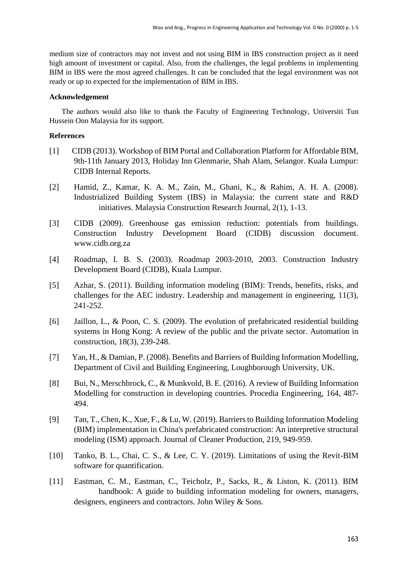medium size of contractors may not invest and not using BIM in IBS construction project as it need high amount of investment or capital. Also, from the challenges, the legal problems in implementing BIM in IBS were the most agreed challenges. It can be concluded that the legal environment was not ready or up to expected for the implementation of BIM in IBS.

#### **Acknowledgement**

The authors would also like to thank the Faculty of Engineering Technology, Universiti Tun Hussein Onn Malaysia for its support.

#### **References**

- [1] CIDB (2013). Workshop of BIM Portal and Collaboration Platform for Affordable BIM, 9th-11th January 2013, Holiday Inn Glenmarie, Shah Alam, Selangor. Kuala Lumpur: CIDB Internal Reports.
- [2] Hamid, Z., Kamar, K. A. M., Zain, M., Ghani, K., & Rahim, A. H. A. (2008). Industrialized Building System (IBS) in Malaysia: the current state and R&D initiatives. Malaysia Construction Research Journal, 2(1), 1-13.
- [3] CIDB (2009). Greenhouse gas emission reduction: potentials from buildings. Construction Industry Development Board (CIDB) discussion document. www.cidb.org.za
- [4] Roadmap, I. B. S. (2003). Roadmap 2003-2010, 2003. Construction Industry Development Board (CIDB), Kuala Lumpur.
- [5] Azhar, S. (2011). Building information modeling (BIM): Trends, benefits, risks, and challenges for the AEC industry. Leadership and management in engineering, 11(3), 241-252.
- [6] Jaillon, L., & Poon, C. S. (2009). The evolution of prefabricated residential building systems in Hong Kong: A review of the public and the private sector. Automation in construction, 18(3), 239-248.
- [7] Yan, H., & Damian, P. (2008). Benefits and Barriers of Building Information Modelling, Department of Civil and Building Engineering, Loughborough University, UK.
- [8] Bui, N., Merschbrock, C., & Munkvold, B. E. (2016). A review of Building Information Modelling for construction in developing countries. Procedia Engineering, 164, 487- 494.
- [9] Tan, T., Chen, K., Xue, F., & Lu, W. (2019). Barriers to Building Information Modeling (BIM) implementation in China's prefabricated construction: An interpretive structural modeling (ISM) approach. Journal of Cleaner Production, 219, 949-959.
- [10] Tanko, B. L., Chai, C. S., & Lee, C. Y. (2019). Limitations of using the Revit-BIM software for quantification.
- [11] Eastman, C. M., Eastman, C., Teicholz, P., Sacks, R., & Liston, K. (2011). BIM handbook: A guide to building information modeling for owners, managers, designers, engineers and contractors. John Wiley & Sons.